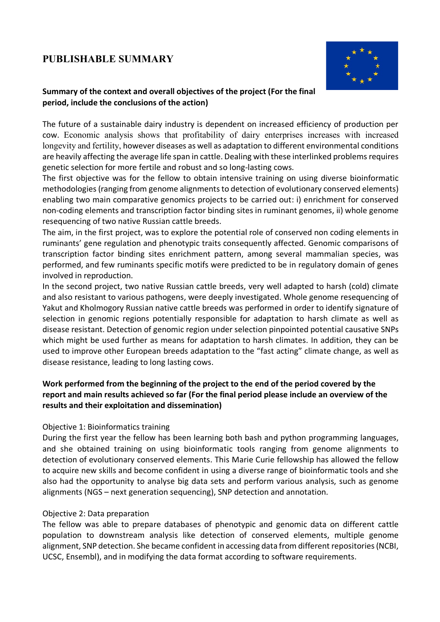# **PUBLISHABLE SUMMARY**



# **Summary of the context and overall objectives of the project (For the final period, include the conclusions of the action)**

The future of a sustainable dairy industry is dependent on increased efficiency of production per cow. Economic analysis shows that profitability of dairy enterprises increases with increased longevity and fertility, however diseases as well as adaptation to different environmental conditions are heavily affecting the average life span in cattle. Dealing with these interlinked problems requires genetic selection for more fertile and robust and so long-lasting cows.

The first objective was for the fellow to obtain intensive training on using diverse bioinformatic methodologies (ranging from genome alignments to detection of evolutionary conserved elements) enabling two main comparative genomics projects to be carried out: i) enrichment for conserved non-coding elements and transcription factor binding sites in ruminant genomes, ii) whole genome resequencing of two native Russian cattle breeds.

The aim, in the first project, was to explore the potential role of conserved non coding elements in ruminants' gene regulation and phenotypic traits consequently affected. Genomic comparisons of transcription factor binding sites enrichment pattern, among several mammalian species, was performed, and few ruminants specific motifs were predicted to be in regulatory domain of genes involved in reproduction.

In the second project, two native Russian cattle breeds, very well adapted to harsh (cold) climate and also resistant to various pathogens, were deeply investigated. Whole genome resequencing of Yakut and Kholmogory Russian native cattle breeds was performed in order to identify signature of selection in genomic regions potentially responsible for adaptation to harsh climate as well as disease resistant. Detection of genomic region under selection pinpointed potential causative SNPs which might be used further as means for adaptation to harsh climates. In addition, they can be used to improve other European breeds adaptation to the "fast acting" climate change, as well as disease resistance, leading to long lasting cows.

# **Work performed from the beginning of the project to the end of the period covered by the report and main results achieved so far (For the final period please include an overview of the results and their exploitation and dissemination)**

### Objective 1: Bioinformatics training

During the first year the fellow has been learning both bash and python programming languages, and she obtained training on using bioinformatic tools ranging from genome alignments to detection of evolutionary conserved elements. This Marie Curie fellowship has allowed the fellow to acquire new skills and become confident in using a diverse range of bioinformatic tools and she also had the opportunity to analyse big data sets and perform various analysis, such as genome alignments (NGS – next generation sequencing), SNP detection and annotation.

### Objective 2: Data preparation

The fellow was able to prepare databases of phenotypic and genomic data on different cattle population to downstream analysis like detection of conserved elements, multiple genome alignment, SNP detection. She became confident in accessing data from different repositories (NCBI, UCSC, Ensembl), and in modifying the data format according to software requirements.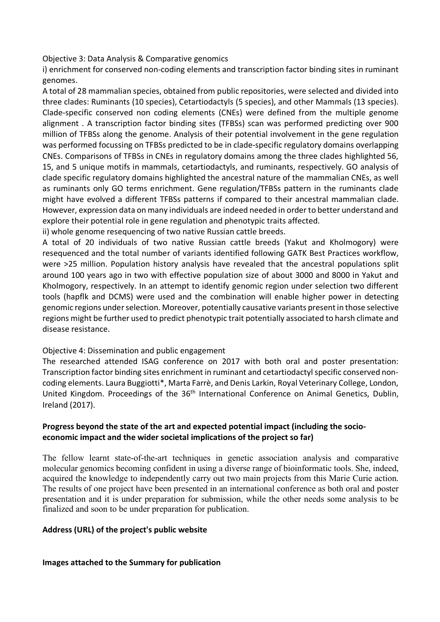Objective 3: Data Analysis & Comparative genomics

i) enrichment for conserved non-coding elements and transcription factor binding sites in ruminant genomes.

A total of 28 mammalian species, obtained from public repositories, were selected and divided into three clades: Ruminants (10 species), Cetartiodactyls (5 species), and other Mammals (13 species). Clade-specific conserved non coding elements (CNEs) were defined from the multiple genome alignment . A transcription factor binding sites (TFBSs) scan was performed predicting over 900 million of TFBSs along the genome. Analysis of their potential involvement in the gene regulation was performed focussing on TFBSs predicted to be in clade-specific regulatory domains overlapping CNEs. Comparisons of TFBSs in CNEs in regulatory domains among the three clades highlighted 56, 15, and 5 unique motifs in mammals, cetartiodactyls, and ruminants, respectively. GO analysis of clade specific regulatory domains highlighted the ancestral nature of the mammalian CNEs, as well as ruminants only GO terms enrichment. Gene regulation/TFBSs pattern in the ruminants clade might have evolved a different TFBSs patterns if compared to their ancestral mammalian clade. However, expression data on many individuals are indeed needed in order to better understand and explore their potential role in gene regulation and phenotypic traits affected.

ii) whole genome resequencing of two native Russian cattle breeds.

A total of 20 individuals of two native Russian cattle breeds (Yakut and Kholmogory) were resequenced and the total number of variants identified following GATK Best Practices workflow, were >25 million. Population history analysis have revealed that the ancestral populations split around 100 years ago in two with effective population size of about 3000 and 8000 in Yakut and Kholmogory, respectively. In an attempt to identify genomic region under selection two different tools (hapflk and DCMS) were used and the combination will enable higher power in detecting genomic regions under selection. Moreover, potentially causative variants presentin those selective regions might be further used to predict phenotypic trait potentially associated to harsh climate and disease resistance.

### Objective 4: Dissemination and public engagement

The researched attended ISAG conference on 2017 with both oral and poster presentation: Transcription factor binding sites enrichment in ruminant and cetartiodactyl specific conserved noncoding elements. Laura Buggiotti\*, Marta Farrè, and Denis Larkin, Royal Veterinary College, London, United Kingdom. Proceedings of the 36<sup>th</sup> International Conference on Animal Genetics, Dublin, Ireland (2017).

### **Progress beyond the state of the art and expected potential impact (including the socioeconomic impact and the wider societal implications of the project so far)**

The fellow learnt state-of-the-art techniques in genetic association analysis and comparative molecular genomics becoming confident in using a diverse range of bioinformatic tools. She, indeed, acquired the knowledge to independently carry out two main projects from this Marie Curie action. The results of one project have been presented in an international conference as both oral and poster presentation and it is under preparation for submission, while the other needs some analysis to be finalized and soon to be under preparation for publication.

### **Address (URL) of the project's public website**

#### **Images attached to the Summary for publication**